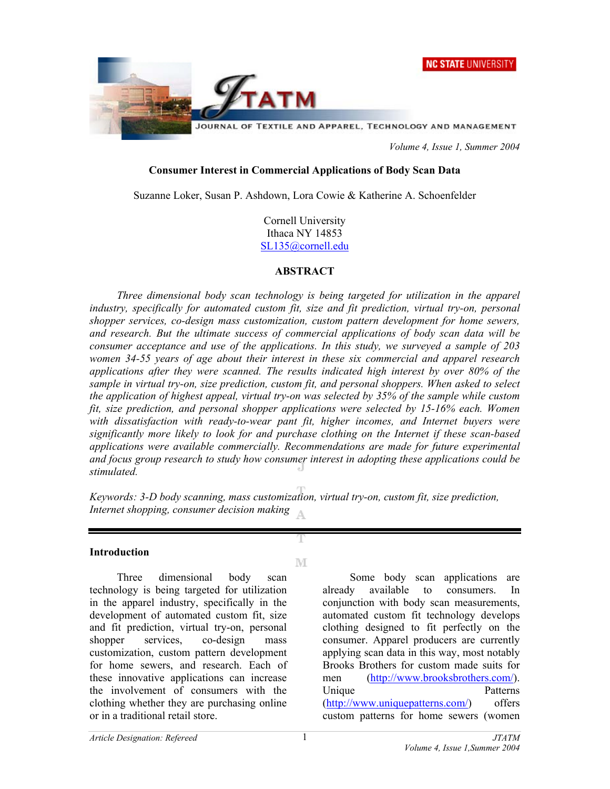



*Volume 4, Issue 1, Summer 2004* 

## **Consumer Interest in Commercial Applications of Body Scan Data**

Suzanne Loker, Susan P. Ashdown, Lora Cowie & Katherine A. Schoenfelder

Cornell University Ithaca NY 14853 SL135@cornell.edu

## **ABSTRACT**

*Three dimensional body scan technology is being targeted for utilization in the apparel industry, specifically for automated custom fit, size and fit prediction, virtual try-on, personal shopper services, co-design mass customization, custom pattern development for home sewers, and research. But the ultimate success of commercial applications of body scan data will be consumer acceptance and use of the applications. In this study, we surveyed a sample of 203 women 34-55 years of age about their interest in these six commercial and apparel research applications after they were scanned. The results indicated high interest by over 80% of the sample in virtual try-on, size prediction, custom fit, and personal shoppers. When asked to select the application of highest appeal, virtual try-on was selected by 35% of the sample while custom fit, size prediction, and personal shopper applications were selected by 15-16% each. Women*  with dissatisfaction with ready-to-wear pant fit, higher incomes, and Internet buyers were *significantly more likely to look for and purchase clothing on the Internet if these scan-based applications were available commercially. Recommendations are made for future experimental and focus group research to study how consumer interest in adopting these applications could be stimulated.* 

*Keywords: 3-D body scanning, mass customization, virtual try-on, custom fit, size prediction, Internet shopping, consumer decision making*  $\Delta$ 

M

### **Introduction**

Three dimensional body scan technology is being targeted for utilization in the apparel industry, specifically in the development of automated custom fit, size and fit prediction, virtual try-on, personal shopper services, co-design mass customization, custom pattern development for home sewers, and research. Each of these innovative applications can increase the involvement of consumers with the clothing whether they are purchasing online or in a traditional retail store.

 Some body scan applications are already available to consumers. In conjunction with body scan measurements, automated custom fit technology develops clothing designed to fit perfectly on the consumer. Apparel producers are currently applying scan data in this way, most notably Brooks Brothers for custom made suits for men ([http://www.brooksbrothers.com](http://www.brooksbrothers.com/)/). Unique Patterns ([http://www.uniquepatterns.com/\)](http://www.uniquepatterns.com/) offers custom patterns for home sewers (women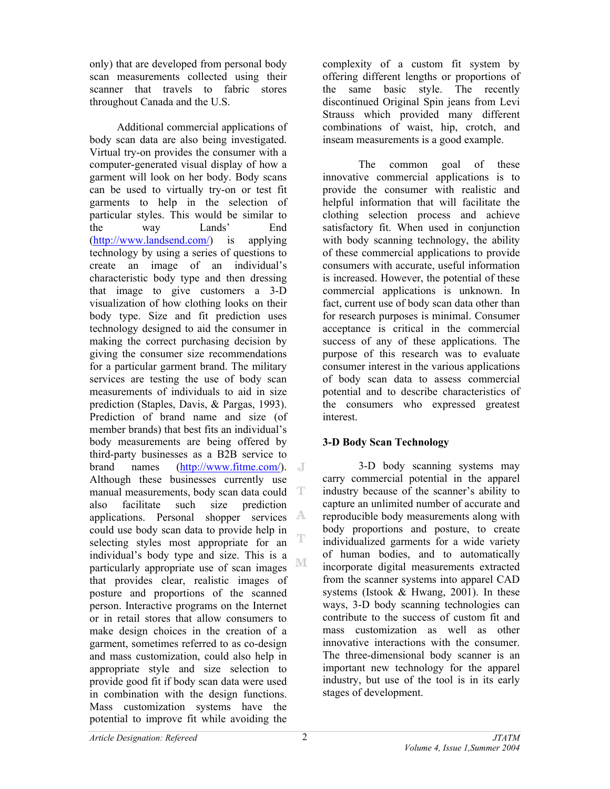only) that are developed from personal body scan measurements collected using their scanner that travels to fabric stores throughout Canada and the U.S.

 Additional commercial applications of body scan data are also being investigated. Virtual try-on provides the consumer with a computer-generated visual display of how a garment will look on her body. Body scans can be used to virtually try-on or test fit garments to help in the selection of particular styles. This would be similar to the way Lands' End ([http://www.landsend.com/\)](http://www.landsend.com/) is applying technology by using a series of questions to create an image of an individual's characteristic body type and then dressing that image to give customers a 3-D visualization of how clothing looks on their body type. Size and fit prediction uses technology designed to aid the consumer in making the correct purchasing decision by giving the consumer size recommendations for a particular garment brand. The military services are testing the use of body scan measurements of individuals to aid in size prediction (Staples, Davis, & Pargas, 1993). Prediction of brand name and size (of member brands) that best fits an individual's body measurements are being offered by third-party businesses as a B2B service to brand names ([http://www.fitme.com](http://www.fitme.com/)/). Although these businesses currently use manual measurements, body scan data could T also facilitate such size prediction applications. Personal shopper services A could use body scan data to provide help in selecting styles most appropriate for an individual's body type and size. This is a M particularly appropriate use of scan images that provides clear, realistic images of posture and proportions of the scanned person. Interactive programs on the Internet or in retail stores that allow consumers to make design choices in the creation of a garment, sometimes referred to as co-design and mass customization, could also help in appropriate style and size selection to provide good fit if body scan data were used in combination with the design functions. Mass customization systems have the potential to improve fit while avoiding the

complexity of a custom fit system by offering different lengths or proportions of the same basic style. The recently discontinued Original Spin jeans from Levi Strauss which provided many different combinations of waist, hip, crotch, and inseam measurements is a good example.

The common goal of these innovative commercial applications is to provide the consumer with realistic and helpful information that will facilitate the clothing selection process and achieve satisfactory fit. When used in conjunction with body scanning technology, the ability of these commercial applications to provide consumers with accurate, useful information is increased. However, the potential of these commercial applications is unknown. In fact, current use of body scan data other than for research purposes is minimal. Consumer acceptance is critical in the commercial success of any of these applications. The purpose of this research was to evaluate consumer interest in the various applications of body scan data to assess commercial potential and to describe characteristics of the consumers who expressed greatest interest.

# **3-D Body Scan Technology**

3-D body scanning systems may carry commercial potential in the apparel industry because of the scanner's ability to capture an unlimited number of accurate and reproducible body measurements along with body proportions and posture, to create individualized garments for a wide variety of human bodies, and to automatically incorporate digital measurements extracted from the scanner systems into apparel CAD systems (Istook  $&$  Hwang, 2001). In these ways, 3-D body scanning technologies can contribute to the success of custom fit and mass customization as well as other innovative interactions with the consumer. The three-dimensional body scanner is an important new technology for the apparel industry, but use of the tool is in its early stages of development.

T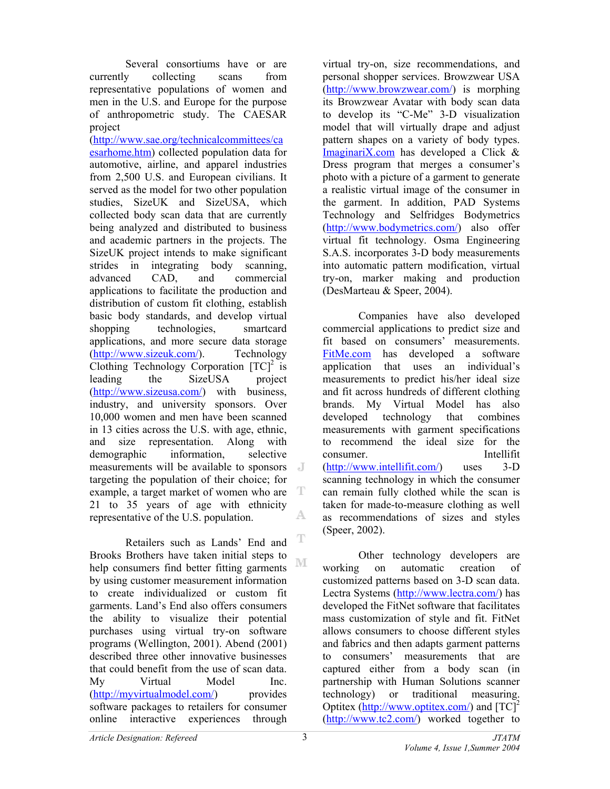Several consortiums have or are currently collecting scans from representative populations of women and men in the U.S. and Europe for the purpose of anthropometric study. The CAESAR project

(<http://www.sae.org/technicalcommittees/ca> esarhome.htm) collected population data for automotive, airline, and apparel industries from 2,500 U.S. and European civilians. It served as the model for two other population studies, SizeUK and SizeUSA, which collected body scan data that are currently being analyzed and distributed to business and academic partners in the projects. The SizeUK project intends to make significant strides in integrating body scanning, advanced CAD, and commercial applications to facilitate the production and distribution of custom fit clothing, establish basic body standards, and develop virtual shopping technologies, smartcard applications, and more secure data storage ([http://www.sizeuk.com](http://www.sizeuk.com/)/). Technology Clothing Technology Corporation  $[TC]^2$  is leading the SizeUSA project ([http://www.sizeusa.com/\)](http://www.sizeusa.com/) with business, industry, and university sponsors. Over 10,000 women and men have been scanned in 13 cities across the U.S. with age, ethnic, and size representation. Along with demographic information, selective measurements will be available to sponsors targeting the population of their choice; for T example, a target market of women who are 21 to 35 years of age with ethnicity A. representative of the U.S. population.

T Retailers such as Lands' End and Brooks Brothers have taken initial steps to M help consumers find better fitting garments by using customer measurement information to create individualized or custom fit garments. Land's End also offers consumers the ability to visualize their potential purchases using virtual try-on software programs (Wellington, 2001). Abend (2001) described three other innovative businesses that could benefit from the use of scan data. My Virtual Model Inc. ([http://myvirtualmodel.com/\)](http://myvirtualmodel.com/) provides software packages to retailers for consumer online interactive experiences through

virtual try-on, size recommendations, and personal shopper services. Browzwear USA ([http://www.browzwear.com/\)](http://www.browzwear.com/) is morphing its Browzwear Avatar with body scan data to develop its "C-Me" 3-D visualization model that will virtually drape and adjust pattern shapes on a variety of body types. ImaginariX.com has developed a Click & Dress program that merges a consumer's photo with a picture of a garment to generate a realistic virtual image of the consumer in the garment. In addition, PAD Systems Technology and Selfridges Bodymetrics ([http://www.bodymetrics.com/\)](http://www.bodymetrics.com/) also offer virtual fit technology. Osma Engineering S.A.S. incorporates 3-D body measurements into automatic pattern modification, virtual try-on, marker making and production (DesMarteau & Speer, 2004).

Companies have also developed commercial applications to predict size and fit based on consumers' measurements. FitMe.com has developed a software application that uses an individual's measurements to predict his/her ideal size and fit across hundreds of different clothing brands. My Virtual Model has also developed technology that combines measurements with garment specifications to recommend the ideal size for the consumer. Intellifit ([http://www.intellifit.com/\)](http://www.intellifit.com/) uses 3-D scanning technology in which the consumer can remain fully clothed while the scan is taken for made-to-measure clothing as well as recommendations of sizes and styles (Speer, 2002).

Other technology developers are working on automatic creation of customized patterns based on 3-D scan data. Lectra Systems ([http://www.lectra.com/\)](http://www.lectra.com/) has developed the FitNet software that facilitates mass customization of style and fit. FitNet allows consumers to choose different styles and fabrics and then adapts garment patterns to consumers' measurements that are captured either from a body scan (in partnership with Human Solutions scanner technology) or traditional measuring. Optitex ([http://www.optitex.com/\)](http://www.optitex.com/) and  $[TC]^2$ ([http://www.tc2.com/\)](http://www.tc2.com/) worked together to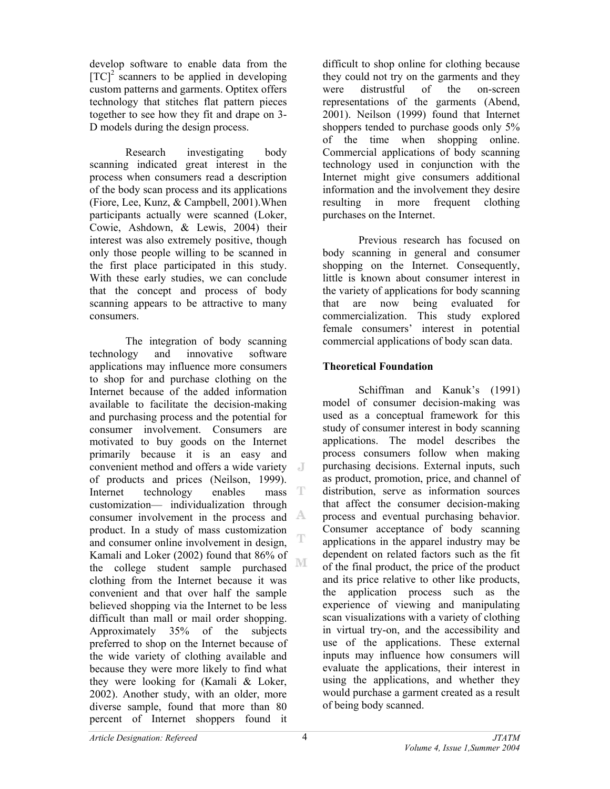develop software to enable data from the  $[TC]<sup>2</sup>$  scanners to be applied in developing custom patterns and garments. Optitex offers technology that stitches flat pattern pieces together to see how they fit and drape on 3- D models during the design process.

Research investigating body scanning indicated great interest in the process when consumers read a description of the body scan process and its applications (Fiore, Lee, Kunz, & Campbell, 2001).When participants actually were scanned (Loker, Cowie, Ashdown, & Lewis, 2004) their interest was also extremely positive, though only those people willing to be scanned in the first place participated in this study. With these early studies, we can conclude that the concept and process of body scanning appears to be attractive to many consumers.

The integration of body scanning technology and innovative software applications may influence more consumers to shop for and purchase clothing on the Internet because of the added information available to facilitate the decision-making and purchasing process and the potential for consumer involvement. Consumers are motivated to buy goods on the Internet primarily because it is an easy and convenient method and offers a wide variety of products and prices (Neilson, 1999). Internet technology enables mass T customization— individualization through consumer involvement in the process and product. In a study of mass customization and consumer online involvement in design, Kamali and Loker (2002) found that 86% of M the college student sample purchased clothing from the Internet because it was convenient and that over half the sample believed shopping via the Internet to be less difficult than mall or mail order shopping. Approximately 35% of the subjects preferred to shop on the Internet because of the wide variety of clothing available and because they were more likely to find what they were looking for (Kamali & Loker, 2002). Another study, with an older, more diverse sample, found that more than 80 percent of Internet shoppers found it

difficult to shop online for clothing because they could not try on the garments and they were distrustful of the on-screen representations of the garments (Abend, 2001). Neilson (1999) found that Internet shoppers tended to purchase goods only 5% of the time when shopping online. Commercial applications of body scanning technology used in conjunction with the Internet might give consumers additional information and the involvement they desire resulting in more frequent clothing purchases on the Internet.

Previous research has focused on body scanning in general and consumer shopping on the Internet. Consequently, little is known about consumer interest in the variety of applications for body scanning that are now being evaluated for commercialization. This study explored female consumers' interest in potential commercial applications of body scan data.

# **Theoretical Foundation**

Schiffman and Kanuk's (1991) model of consumer decision-making was used as a conceptual framework for this study of consumer interest in body scanning applications. The model describes the process consumers follow when making purchasing decisions. External inputs, such as product, promotion, price, and channel of distribution, serve as information sources that affect the consumer decision-making process and eventual purchasing behavior. Consumer acceptance of body scanning applications in the apparel industry may be dependent on related factors such as the fit of the final product, the price of the product and its price relative to other like products, the application process such as the experience of viewing and manipulating scan visualizations with a variety of clothing in virtual try-on, and the accessibility and use of the applications. These external inputs may influence how consumers will evaluate the applications, their interest in using the applications, and whether they would purchase a garment created as a result of being body scanned.

Ē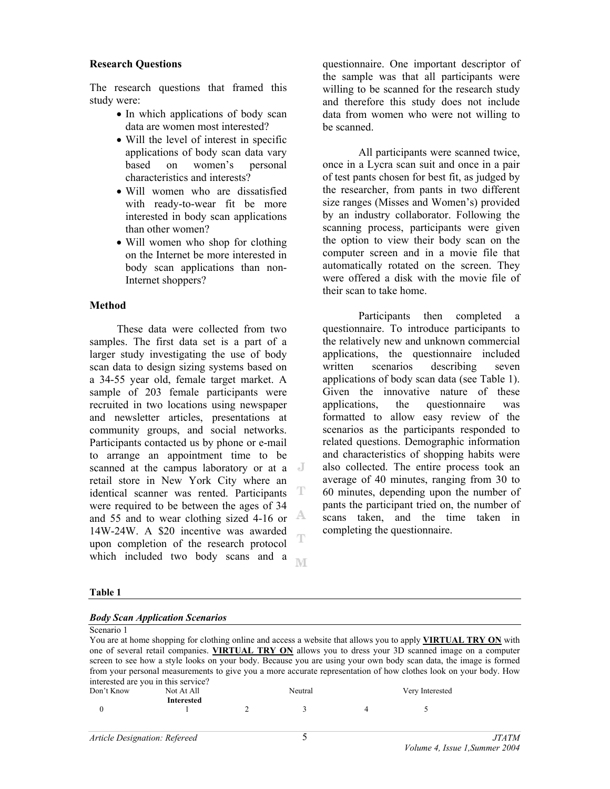## **Research Questions**

The research questions that framed this study were:

- In which applications of body scan data are women most interested?
- Will the level of interest in specific applications of body scan data vary based on women's personal characteristics and interests?
- Will women who are dissatisfied with ready-to-wear fit be more interested in body scan applications than other women?
- Will women who shop for clothing on the Internet be more interested in body scan applications than non-Internet shoppers?

## **Method**

 These data were collected from two samples. The first data set is a part of a larger study investigating the use of body scan data to design sizing systems based on a 34-55 year old, female target market. A sample of 203 female participants were recruited in two locations using newspaper and newsletter articles, presentations at community groups, and social networks. Participants contacted us by phone or e-mail to arrange an appointment time to be scanned at the campus laboratory or at a retail store in New York City where an identical scanner was rented. Participants T were required to be between the ages of 34 A and 55 and to wear clothing sized 4-16 or 14W-24W. A \$20 incentive was awarded T upon completion of the research protocol which included two body scans and a **NT**  questionnaire. One important descriptor of the sample was that all participants were willing to be scanned for the research study and therefore this study does not include data from women who were not willing to be scanned.

All participants were scanned twice, once in a Lycra scan suit and once in a pair of test pants chosen for best fit, as judged by the researcher, from pants in two different size ranges (Misses and Women's) provided by an industry collaborator. Following the scanning process, participants were given the option to view their body scan on the computer screen and in a movie file that automatically rotated on the screen. They were offered a disk with the movie file of their scan to take home.

Participants then completed a questionnaire. To introduce participants to the relatively new and unknown commercial applications, the questionnaire included written scenarios describing seven applications of body scan data (see Table 1). Given the innovative nature of these applications, the questionnaire was formatted to allow easy review of the scenarios as the participants responded to related questions. Demographic information and characteristics of shopping habits were also collected. The entire process took an average of 40 minutes, ranging from 30 to 60 minutes, depending upon the number of pants the participant tried on, the number of scans taken, and the time taken in completing the questionnaire.

### **Table 1**

| <b>Body Scan Application Scenarios</b> |  |
|----------------------------------------|--|
|                                        |  |

| Scenario 1                          |                   |         |                                                                                                                       |
|-------------------------------------|-------------------|---------|-----------------------------------------------------------------------------------------------------------------------|
|                                     |                   |         | You are at home shopping for clothing online and access a website that allows you to apply <b>VIRTUAL TRY ON</b> with |
|                                     |                   |         | one of several retail companies. VIRTUAL TRY ON allows you to dress your 3D scanned image on a computer               |
|                                     |                   |         | screen to see how a style looks on your body. Because you are using your own body scan data, the image is formed      |
|                                     |                   |         | from your personal measurements to give you a more accurate representation of how clothes look on your body. How      |
| interested are you in this service? |                   |         |                                                                                                                       |
| Don't Know                          | Not At All        | Neutral | Very Interested                                                                                                       |
|                                     | <b>Interested</b> |         |                                                                                                                       |

0 1 2 3 4 5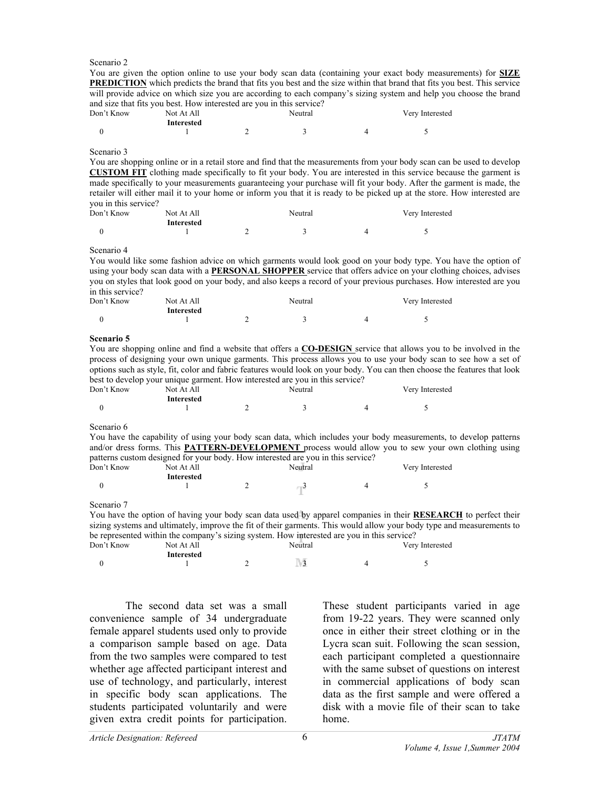#### Scenario 2

You are given the option online to use your body scan data (containing your exact body measurements) for **SIZE PREDICTION** which predicts the brand that fits you best and the size within that brand that fits you best. This service will provide advice on which size you are according to each company's sizing system and help you choose the brand and size that fits you best. How interested are you in this service?

| Don't Know<br>Not At All<br>Interested |  | Neutral | Very Interested |  |
|----------------------------------------|--|---------|-----------------|--|
|                                        |  |         |                 |  |

#### Scenario 3

You are shopping online or in a retail store and find that the measurements from your body scan can be used to develop **CUSTOM FIT** clothing made specifically to fit your body. You are interested in this service because the garment is made specifically to your measurements guaranteeing your purchase will fit your body. After the garment is made, the retailer will either mail it to your home or inform you that it is ready to be picked up at the store. How interested are you in this service?

| Don't Know | Not At All | Neutral |  |  | Very Interested |
|------------|------------|---------|--|--|-----------------|
|            | Interested |         |  |  |                 |
|            |            |         |  |  |                 |

Scenario 4

You would like some fashion advice on which garments would look good on your body type. You have the option of using your body scan data with a **PERSONAL SHOPPER** service that offers advice on your clothing choices, advises you on styles that look good on your body, and also keeps a record of your previous purchases. How interested are you in this service?

| Don't Know | Not At All        | Neutral |  |  | Very Interested |
|------------|-------------------|---------|--|--|-----------------|
|            | <b>Interested</b> |         |  |  |                 |
|            |                   |         |  |  |                 |

#### **Scenario 5**

You are shopping online and find a website that offers a **CO-DESIGN** service that allows you to be involved in the process of designing your own unique garments. This process allows you to use your body scan to see how a set of options such as style, fit, color and fabric features would look on your body. You can then choose the features that look best to develop your unique garment. How interested are you in this service?

| Don't Know | Not At All | Neutral | Very Interested |
|------------|------------|---------|-----------------|
|            | Interested |         |                 |

#### Scenario 6

You have the capability of using your body scan data, which includes your body measurements, to develop patterns and/or dress forms. This **PATTERN-DEVELOPMENT** process would allow you to sew your own clothing using patterns custom designed for your body. How interested are you in this service?

| Don't Know | Not At All | Neutral | . | Very Interested |
|------------|------------|---------|---|-----------------|
|            | Interested |         |   |                 |

Scenario 7

You have the option of having your body scan data used by apparel companies in their **RESEARCH** to perfect their sizing systems and ultimately, improve the fit of their garments. This would allow your body type and measurements to be represented within the company's sizing system. How interested are you in this service?

| Don't Know | Not At All | Neutral | Very Interested |
|------------|------------|---------|-----------------|
|            | Interested |         |                 |
|            |            |         |                 |

The second data set was a small convenience sample of 34 undergraduate female apparel students used only to provide a comparison sample based on age. Data from the two samples were compared to test whether age affected participant interest and use of technology, and particularly, interest in specific body scan applications. The students participated voluntarily and were given extra credit points for participation.

These student participants varied in age from 19-22 years. They were scanned only once in either their street clothing or in the Lycra scan suit. Following the scan session, each participant completed a questionnaire with the same subset of questions on interest in commercial applications of body scan data as the first sample and were offered a disk with a movie file of their scan to take home.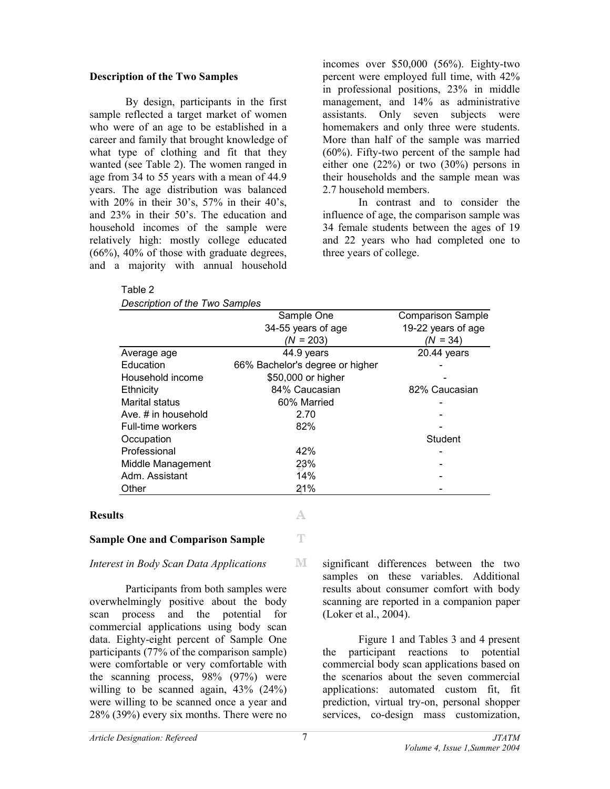# **Description of the Two Samples**

Table 2

By design, participants in the first sample reflected a target market of women who were of an age to be established in a career and family that brought knowledge of what type of clothing and fit that they wanted (see Table 2). The women ranged in age from 34 to 55 years with a mean of 44.9 years. The age distribution was balanced with 20% in their 30's, 57% in their 40's, and 23% in their 50's. The education and household incomes of the sample were relatively high: mostly college educated  $(66\%)$ ,  $40\%$  of those with graduate degrees, and a majority with annual household

incomes over \$50,000 (56%). Eighty-two percent were employed full time, with 42% in professional positions, 23% in middle management, and 14% as administrative assistants. Only seven subjects were homemakers and only three were students. More than half of the sample was married (60%). Fifty-two percent of the sample had either one (22%) or two (30%) persons in their households and the sample mean was 2.7 household members.

In contrast and to consider the influence of age, the comparison sample was 34 female students between the ages of 19 and 22 years who had completed one to three years of college.

| Description of the Two Samples |                                 |                          |
|--------------------------------|---------------------------------|--------------------------|
|                                | Sample One                      | <b>Comparison Sample</b> |
|                                | 34-55 years of age              | 19-22 years of age       |
|                                | $(N = 203)$                     | $(N = 34)$               |
| Average age                    | 44.9 years                      | 20.44 years              |
| Education                      | 66% Bachelor's degree or higher |                          |
| Household income               | \$50,000 or higher              |                          |
| Ethnicity                      | 84% Caucasian                   | 82% Caucasian            |
| Marital status                 | 60% Married                     |                          |
| Ave. # in household            | 2.70                            |                          |
| Full-time workers              | 82%                             |                          |
| Occupation                     |                                 | Student                  |
| Professional                   | 42%                             |                          |
| Middle Management              | 23%                             |                          |
| Adm. Assistant                 | 14%                             |                          |
| Other                          | 21%                             |                          |
|                                |                                 |                          |
|                                |                                 |                          |

 $\mathbb T$ 

M

### **Results**

### **Sample One and Comparison Sample**

### *Interest in Body Scan Data Applications*

Participants from both samples were overwhelmingly positive about the body scan process and the potential for commercial applications using body scan data. Eighty-eight percent of Sample One participants (77% of the comparison sample) were comfortable or very comfortable with the scanning process, 98% (97%) were willing to be scanned again,  $43\%$  (24%) were willing to be scanned once a year and 28% (39%) every six months. There were no

significant differences between the two samples on these variables. Additional results about consumer comfort with body scanning are reported in a companion paper (Loker et al., 2004).

Figure 1 and Tables 3 and 4 present the participant reactions to potential commercial body scan applications based on the scenarios about the seven commercial applications: automated custom fit, fit prediction, virtual try-on, personal shopper services, co-design mass customization,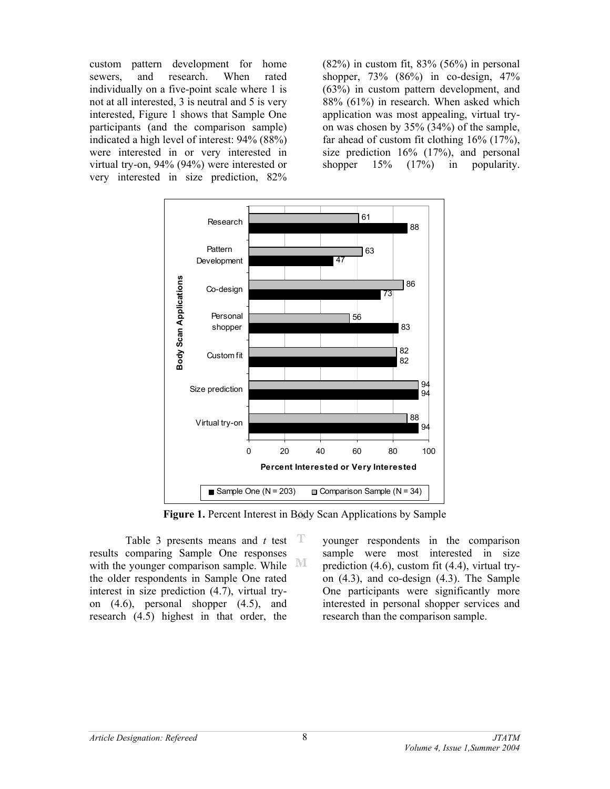custom pattern development for home sewers, and research. When rated individually on a five-point scale where 1 is not at all interested, 3 is neutral and 5 is very interested, Figure 1 shows that Sample One participants (and the comparison sample) indicated a high level of interest: 94% (88%) were interested in or very interested in virtual try-on, 94% (94%) were interested or very interested in size prediction, 82%

 $(82%)$  in custom fit,  $83% (56%)$  in personal shopper, 73% (86%) in co-design, 47% (63%) in custom pattern development, and 88% (61%) in research. When asked which application was most appealing, virtual tryon was chosen by 35% (34%) of the sample, far ahead of custom fit clothing 16% (17%), size prediction 16% (17%), and personal shopper  $15\%$   $(17\%)$  in popularity.



**Figure 1.** Percent Interest in Body Scan Applications by Sample

Table 3 presents means and *t* test results comparing Sample One responses M with the younger comparison sample. While the older respondents in Sample One rated interest in size prediction (4.7), virtual tryon (4.6), personal shopper (4.5), and research (4.5) highest in that order, the

younger respondents in the comparison sample were most interested in size prediction (4.6), custom fit (4.4), virtual tryon (4.3), and co-design (4.3). The Sample One participants were significantly more interested in personal shopper services and research than the comparison sample.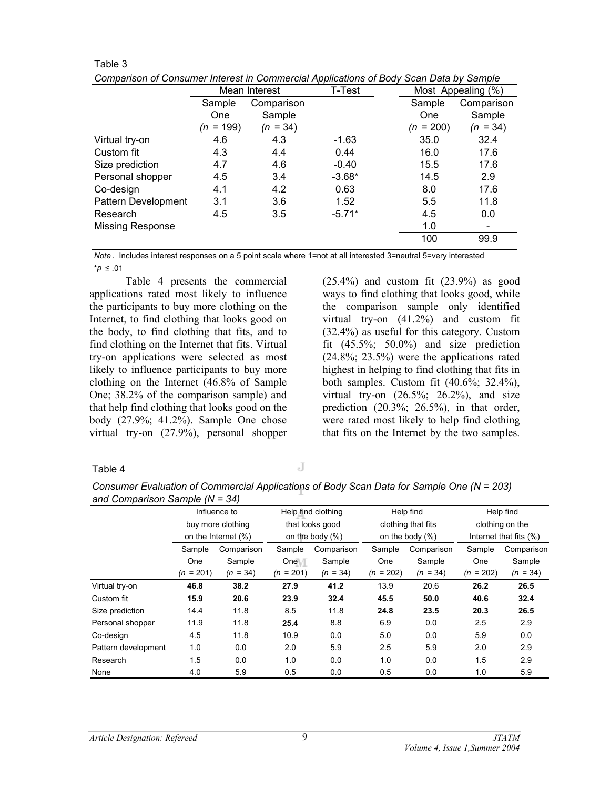| Comparison of Consumer interest in Commercial Applications of Body Scan Data by Sample |             |               |          |             |                    |
|----------------------------------------------------------------------------------------|-------------|---------------|----------|-------------|--------------------|
|                                                                                        |             | Mean Interest | T-Test   |             | Most Appealing (%) |
|                                                                                        | Sample      | Comparison    |          | Sample      | Comparison         |
|                                                                                        | <b>One</b>  | Sample        |          | One         | Sample             |
|                                                                                        | $(n = 199)$ | $(n = 34)$    |          | $(n = 200)$ | $(n = 34)$         |
| Virtual try-on                                                                         | 4.6         | 4.3           | $-1.63$  | 35.0        | 32.4               |
| Custom fit                                                                             | 4.3         | 4.4           | 0.44     | 16.0        | 17.6               |
| Size prediction                                                                        | 4.7         | 4.6           | $-0.40$  | 15.5        | 17.6               |
| Personal shopper                                                                       | 4.5         | 3.4           | $-3.68*$ | 14.5        | 2.9                |
| Co-design                                                                              | 4.1         | 4.2           | 0.63     | 8.0         | 17.6               |
| Pattern Development                                                                    | 3.1         | 3.6           | 1.52     | 5.5         | 11.8               |
| Research                                                                               | 4.5         | 3.5           | $-5.71*$ | 4.5         | 0.0                |
| <b>Missing Response</b>                                                                |             |               |          | 1.0         |                    |
|                                                                                        |             |               |          | 100         | 99.9               |
|                                                                                        |             |               |          |             |                    |

*Comparison of Consumer Interest in Commercial Applications of Body Scan Data by Sample*

*Note* . Includes interest responses on a 5 point scale where 1=not at all interested 3=neutral 5=very interested \**p* ≤ .01

Table 4 presents the commercial applications rated most likely to influence the participants to buy more clothing on the Internet, to find clothing that looks good on the body, to find clothing that fits, and to find clothing on the Internet that fits. Virtual try-on applications were selected as most likely to influence participants to buy more clothing on the Internet (46.8% of Sample One; 38.2% of the comparison sample) and that help find clothing that looks good on the body (27.9%; 41.2%). Sample One chose virtual try-on (27.9%), personal shopper

 $(25.4\%)$  and custom fit  $(23.9\%)$  as good ways to find clothing that looks good, while the comparison sample only identified virtual try-on (41.2%) and custom fit (32.4%) as useful for this category. Custom fit  $(45.5\%; 50.0\%)$  and size prediction (24.8%; 23.5%) were the applications rated highest in helping to find clothing that fits in both samples. Custom fit (40.6%; 32.4%), virtual try-on  $(26.5\%; 26.2\%)$ , and size prediction  $(20.3\%; 26.5\%)$ , in that order, were rated most likely to help find clothing that fits on the Internet by the two samples.

### Table 4

Table 3

J

*Consumer Evaluation of Commercial Applications of Body Scan Data for Sample One (N = 203) and Comparison Sample (N = 34)*

|                     |             | Help find clothing<br>Influence to |             | Help find          |             | Help find          |                        |            |
|---------------------|-------------|------------------------------------|-------------|--------------------|-------------|--------------------|------------------------|------------|
|                     |             | buy more clothing                  |             | that looks good    |             | clothing that fits | clothing on the        |            |
|                     |             | on the Internet (%)                |             | on the body $(\%)$ |             | on the body $(\%)$ | Internet that fits (%) |            |
|                     | Sample      | Comparison                         | Sample      | Comparison         | Sample      | Comparison         | Sample                 | Comparison |
|                     | One         | Sample                             | One T       | Sample             | One         | Sample             | One                    | Sample     |
|                     | $(n = 201)$ | $(n = 34)$                         | $(n = 201)$ | $(n = 34)$         | $(n = 202)$ | $(n = 34)$         | $(n = 202)$            | $(n = 34)$ |
| Virtual try-on      | 46.8        | 38.2                               | 27.9        | 41.2               | 13.9        | 20.6               | 26.2                   | 26.5       |
| Custom fit          | 15.9        | 20.6                               | 23.9        | 32.4               | 45.5        | 50.0               | 40.6                   | 32.4       |
| Size prediction     | 14.4        | 11.8                               | 8.5         | 11.8               | 24.8        | 23.5               | 20.3                   | 26.5       |
| Personal shopper    | 11.9        | 11.8                               | 25.4        | 8.8                | 6.9         | 0.0                | 2.5                    | 2.9        |
| Co-design           | 4.5         | 11.8                               | 10.9        | 0.0                | 5.0         | 0.0                | 5.9                    | 0.0        |
| Pattern development | 1.0         | 0.0                                | 2.0         | 5.9                | 2.5         | 5.9                | 2.0                    | 2.9        |
| Research            | 1.5         | 0.0                                | 1.0         | 0.0                | 1.0         | 0.0                | 1.5                    | 2.9        |
| None                | 4.0         | 5.9                                | 0.5         | 0.0                | 0.5         | 0.0                | 1.0                    | 5.9        |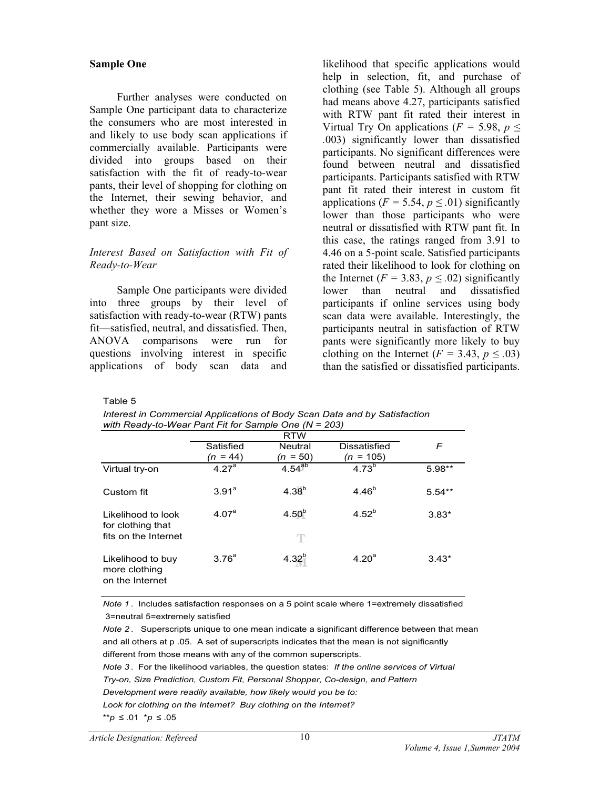## **Sample One**

 Further analyses were conducted on Sample One participant data to characterize the consumers who are most interested in and likely to use body scan applications if commercially available. Participants were divided into groups based on their satisfaction with the fit of ready-to-wear pants, their level of shopping for clothing on the Internet, their sewing behavior, and whether they wore a Misses or Women's pant size.

## *Interest Based on Satisfaction with Fit of Ready-to-Wear*

 Sample One participants were divided into three groups by their level of satisfaction with ready-to-wear (RTW) pants fit—satisfied, neutral, and dissatisfied. Then, ANOVA comparisons were run for questions involving interest in specific applications of body scan data and likelihood that specific applications would help in selection, fit, and purchase of clothing (see Table 5). Although all groups had means above 4.27, participants satisfied with RTW pant fit rated their interest in Virtual Try On applications ( $F = 5.98$ ,  $p \leq$ *.*003) significantly lower than dissatisfied participants. No significant differences were found between neutral and dissatisfied participants. Participants satisfied with RTW pant fit rated their interest in custom fit applications ( $F = 5.54$ ,  $p \le 0.01$ ) significantly lower than those participants who were neutral or dissatisfied with RTW pant fit. In this case, the ratings ranged from 3.91 to 4.46 on a 5-point scale. Satisfied participants rated their likelihood to look for clothing on the Internet ( $F = 3.83$ ,  $p \leq .02$ ) significantly lower than neutral and dissatisfied participants if online services using body scan data were available. Interestingly, the participants neutral in satisfaction of RTW pants were significantly more likely to buy clothing on the Internet ( $F = 3.43$ ,  $p \leq .03$ ) than the satisfied or dissatisfied participants.

Table 5

| Interest in Commercial Applications of Body Scan Data and by Satisfaction |
|---------------------------------------------------------------------------|
| with Ready-to-Wear Pant Fit for Sample One ( $N = 203$ )                  |

|                                                                 | <b>RTW</b>              |                              |                             |          |
|-----------------------------------------------------------------|-------------------------|------------------------------|-----------------------------|----------|
|                                                                 | Satisfied<br>$(n = 44)$ | <b>Neutral</b><br>$(n = 50)$ | Dissatisfied<br>$(n = 105)$ | F        |
| Virtual try-on                                                  | 4.27 <sup>a</sup>       | $4.54^{ab}$                  | $4.73^{b}$                  | $5.98**$ |
| Custom fit                                                      | $3.91^a$                | $4.38^{b}$                   | $4.46^{b}$                  | $5.54**$ |
| Likelihood to look<br>for clothing that<br>fits on the Internet | 4.07 <sup>a</sup>       | $4.50^{b}$<br>T              | $4.52^{b}$                  | $3.83*$  |
| Likelihood to buy<br>more clothing<br>on the Internet           | 3.76 <sup>a</sup>       | $4.32^{b}$                   | 4.20 <sup>a</sup>           | $3.43*$  |

*Note 1* . Includes satisfaction responses on a 5 point scale where 1=extremely dissatisfied 3=neutral 5=extremely satisfied

*Note 2* . Superscripts unique to one mean indicate a significant difference between that mean and all others at p .05. A set of superscripts indicates that the mean is not significantly different from those means with any of the common superscripts. *Note 3* . For the likelihood variables, the question states: *If the online services of Virtual Development were readily available, how likely would you be to: Look for clothing on the Internet? Buy clothing on the Internet?* \*\**p* ≤ .01 \**p* ≤ .05 *Try-on, Size Prediction, Custom Fit, Personal Shopper, Co-design, and Pattern*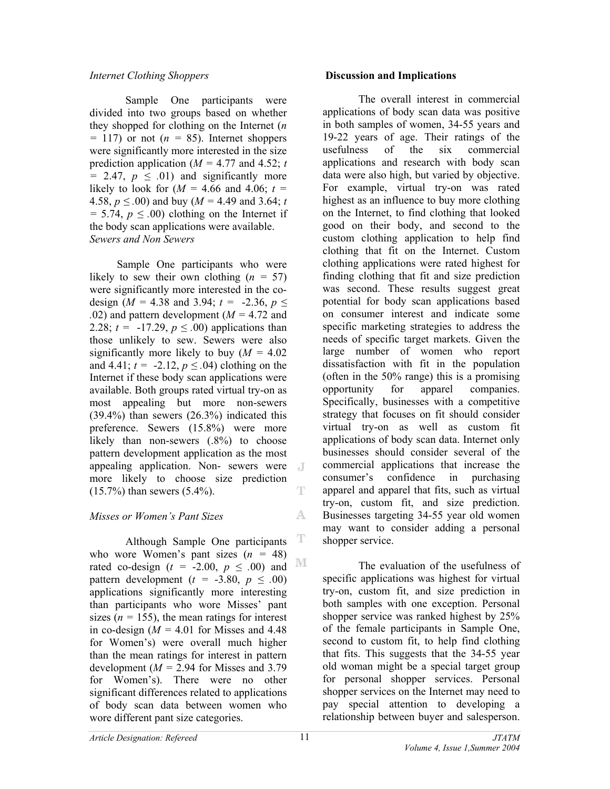# *Internet Clothing Shoppers*

Sample One participants were divided into two groups based on whether they shopped for clothing on the Internet (*n*   $= 117$ ) or not ( $n = 85$ ). Internet shoppers were significantly more interested in the size prediction application ( $M = 4.77$  and 4.52; *t*  $= 2.47, p \leq .01$  and significantly more likely to look for  $(M = 4.66$  and  $4.06$ ;  $t =$ 4.58,  $p \leq 0.00$  and buy ( $M = 4.49$  and 3.64; *t*  $= 5.74, p \leq .00$  clothing on the Internet if the body scan applications were available. *Sewers and Non Sewers* 

 Sample One participants who were likely to sew their own clothing  $(n = 57)$ were significantly more interested in the codesign ( $M = 4.38$  and 3.94;  $t = -2.36$ ,  $p \le$ *.*02) and pattern development (*M =* 4.72 and 2.28;  $t = -17.29$ ,  $p \le 0.00$  applications than those unlikely to sew. Sewers were also significantly more likely to buy (*M =* 4.02 and 4.41;  $t = -2.12$ ,  $p \le 0.04$ ) clothing on the Internet if these body scan applications were available. Both groups rated virtual try-on as most appealing but more non-sewers  $(39.4\%)$  than sewers  $(26.3\%)$  indicated this preference. Sewers (15.8%) were more likely than non-sewers (.8%) to choose pattern development application as the most appealing application. Non- sewers were more likely to choose size prediction (15.7%) than sewers (5.4%). T

# *Misses or Women's Pant Sizes*

T Although Sample One participants who wore Women's pant sizes  $(n = 48)$ rated co-design  $(t = -2.00, p \le .00)$  and <sup>IMI</sup> pattern development  $(t = -3.80, p \le .00)$ applications significantly more interesting than participants who wore Misses' pant sizes ( $n = 155$ ), the mean ratings for interest in co-design  $(M = 4.01$  for Misses and 4.48 for Women's) were overall much higher than the mean ratings for interest in pattern development ( $M = 2.94$  for Misses and 3.79) for Women's). There were no other significant differences related to applications of body scan data between women who wore different pant size categories.

## **Discussion and Implications**

The overall interest in commercial applications of body scan data was positive in both samples of women, 34-55 years and 19-22 years of age. Their ratings of the usefulness of the six commercial applications and research with body scan data were also high, but varied by objective. For example, virtual try-on was rated highest as an influence to buy more clothing on the Internet, to find clothing that looked good on their body, and second to the custom clothing application to help find clothing that fit on the Internet. Custom clothing applications were rated highest for finding clothing that fit and size prediction was second. These results suggest great potential for body scan applications based on consumer interest and indicate some specific marketing strategies to address the needs of specific target markets. Given the large number of women who report dissatisfaction with fit in the population (often in the 50% range) this is a promising opportunity for apparel companies. Specifically, businesses with a competitive strategy that focuses on fit should consider virtual try-on as well as custom fit applications of body scan data. Internet only businesses should consider several of the commercial applications that increase the consumer's confidence in purchasing apparel and apparel that fits, such as virtual try-on, custom fit, and size prediction. Businesses targeting 34-55 year old women may want to consider adding a personal shopper service.

The evaluation of the usefulness of specific applications was highest for virtual try-on, custom fit, and size prediction in both samples with one exception. Personal shopper service was ranked highest by 25% of the female participants in Sample One, second to custom fit, to help find clothing that fits. This suggests that the 34-55 year old woman might be a special target group for personal shopper services. Personal shopper services on the Internet may need to pay special attention to developing a relationship between buyer and salesperson.

A.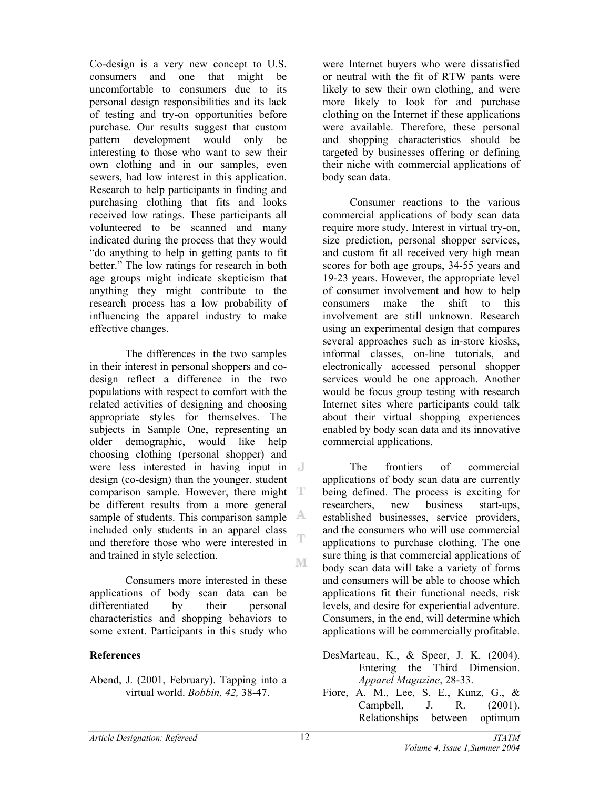Co-design is a very new concept to U.S. consumers and one that might be uncomfortable to consumers due to its personal design responsibilities and its lack of testing and try-on opportunities before purchase. Our results suggest that custom pattern development would only be interesting to those who want to sew their own clothing and in our samples, even sewers, had low interest in this application. Research to help participants in finding and purchasing clothing that fits and looks received low ratings. These participants all volunteered to be scanned and many indicated during the process that they would "do anything to help in getting pants to fit better." The low ratings for research in both age groups might indicate skepticism that anything they might contribute to the research process has a low probability of influencing the apparel industry to make effective changes.

The differences in the two samples in their interest in personal shoppers and codesign reflect a difference in the two populations with respect to comfort with the related activities of designing and choosing appropriate styles for themselves. The subjects in Sample One, representing an older demographic, would like help choosing clothing (personal shopper) and were less interested in having input in design (co-design) than the younger, student comparison sample. However, there might be different results from a more general sample of students. This comparison sample included only students in an apparel class T and therefore those who were interested in and trained in style selection. M

Consumers more interested in these applications of body scan data can be differentiated by their personal characteristics and shopping behaviors to some extent. Participants in this study who

# **References**

Abend, J. (2001, February). Tapping into a virtual world. *Bobbin, 42,* 38-47.

were Internet buyers who were dissatisfied or neutral with the fit of RTW pants were likely to sew their own clothing, and were more likely to look for and purchase clothing on the Internet if these applications were available. Therefore, these personal and shopping characteristics should be targeted by businesses offering or defining their niche with commercial applications of body scan data.

 Consumer reactions to the various commercial applications of body scan data require more study. Interest in virtual try-on, size prediction, personal shopper services, and custom fit all received very high mean scores for both age groups, 34-55 years and 19-23 years. However, the appropriate level of consumer involvement and how to help consumers make the shift to this involvement are still unknown. Research using an experimental design that compares several approaches such as in-store kiosks, informal classes, on-line tutorials, and electronically accessed personal shopper services would be one approach. Another would be focus group testing with research Internet sites where participants could talk about their virtual shopping experiences enabled by body scan data and its innovative commercial applications.

 The frontiers of commercial applications of body scan data are currently being defined. The process is exciting for researchers, new business start-ups, established businesses, service providers, and the consumers who will use commercial applications to purchase clothing. The one sure thing is that commercial applications of body scan data will take a variety of forms and consumers will be able to choose which applications fit their functional needs, risk levels, and desire for experiential adventure. Consumers, in the end, will determine which applications will be commercially profitable.

- DesMarteau, K., & Speer, J. K. (2004). Entering the Third Dimension. *Apparel Magazine*, 28-33.
- Fiore, A. M., Lee, S. E., Kunz, G., & Campbell, J. R. (2001). Relationships between optimum